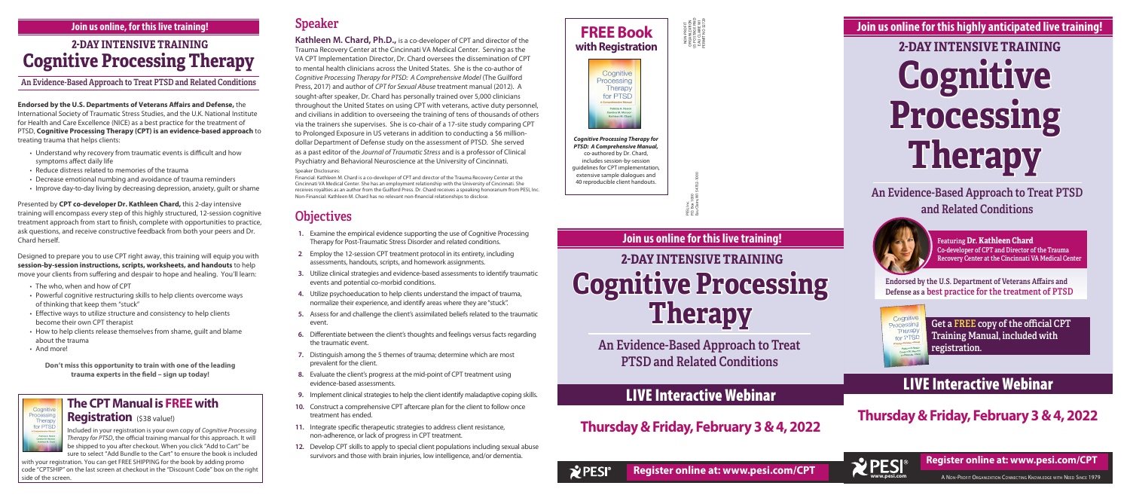**Endorsed by the U.S. Departments of Veterans Affairs and Defense,** the International Society of Traumatic Stress Studies, and the U.K. National Institute for Health and Care Excellence (NICE) as a best practice for the treatment of PTSD, **Cognitive Processing Therapy (CPT) is an evidence-based approach** to treating trauma that helps clients:

- Understand why recovery from traumatic events is difficult and how symptoms affect daily life
- Reduce distress related to memories of the trauma
- Decrease emotional numbing and avoidance of trauma reminders
- Improve day-to-day living by decreasing depression, anxiety, guilt or shame

Presented by **CPT co-developer Dr. Kathleen Chard,** this 2-day intensive training will encompass every step of this highly structured, 12-session cognitive treatment approach from start to finish, complete with opportunities to practice, ask questions, and receive constructive feedback from both your peers and Dr. Chard herself.

Designed to prepare you to use CPT right away, this training will equip you with **session-by-session instructions, scripts, worksheets, and handouts** to help move your clients from suffering and despair to hope and healing. You'll learn:

- The who, when and how of CPT
- Powerful cognitive restructuring skills to help clients overcome ways of thinking that keep them "stuck"
- Effective ways to utilize structure and consistency to help clients become their own CPT therapist
- How to help clients release themselves from shame, guilt and blame about the trauma
- And more!

Cognitive Processing Therapy for PTSD

**Don't miss this opportunity to train with one of the leading trauma experts in the field – sign up today!**

### Speaker

**Kathleen M. Chard, Ph.D.,** is a co-developer of CPT and director of the Trauma Recovery Center at the Cincinnati VA Medical Center. Serving as the VA CPT Implementation Director, Dr. Chard oversees the dissemination of CPT to mental health clinicians across the United States. She is the co-author of *Cognitive Processing Therapy for PTSD: A Comprehensive Model* (The Guilford Press, 2017) and author of *CPT for Sexual Abuse* treatment manual (2012). A sought-after speaker, Dr. Chard has personally trained over 5,000 clinicians throughout the United States on using CPT with veterans, active duty personnel, and civilians in addition to overseeing the training of tens of thousands of others via the trainers she supervises. She is co-chair of a 17-site study comparing CPT to Prolonged Exposure in US veterans in addition to conducting a \$6 milliondollar Department of Defense study on the assessment of PTSD. She served as a past editor of the *Journal of Traumatic Stress* and is a professor of Clinical Psychiatry and Behavioral Neuroscience at the University of Cincinnati. Speaker Disclosures:

Eau Claire, WI 54702-1000  $rac{8}{5}$ P.O. Box 1000 PESI, Inc.<br>P.O. Box<br>Fau Clair

Financial: Kathleen M. Chard is a co-developer of CPT and director of the Trauma Recovery Center at the Cincinnati VA Medical Center. She has an employment relationship with the University of Cincinnati. She receives royalties as an author from the Guilford Press. Dr. Chard receives a speaking honorarium from PESI, Inc. Non-Financial: Kathleen M. Chard has no relevant non-financial relationships to disclose.

### **Objectives**

with your registration. You can get FREE SHIPPING for the book by adding promo code "CPTSHIP" on the last screen at checkout in the "Discount Code" box on the right code "CPTSHIP" on the last screen at checkout in the "Discount Code" box on the right **Number of the screen. Register online at: www.pesi.com/CPT**  **WES A NON-PROFIT ORGANIZATION CONNECTING KNOWLEDGE WITH NEED SINCE 1979**<br>A NON-PROFIT ORGANIZATION CONNECTING KNOWLEDGE WITH NEED SINCE 1979 **Register online at: www.pesi.com/CPT**



- **1.** Examine the empirical evidence supporting the use of Cognitive Processing Therapy for Post-Traumatic Stress Disorder and related conditions.
- **2**. Employ the 12-session CPT treatment protocol in its entirety, including assessments, handouts, scripts, and homework assignments.
- **3.** Utilize clinical strategies and evidence-based assessments to identify traumatic events and potential co-morbid conditions.
- **4.** Utilize psychoeducation to help clients understand the impact of trauma, normalize their experience, and identify areas where they are "stuck".
- **5.** Assess for and challenge the client's assimilated beliefs related to the traumatic event.
- **6.** Differentiate between the client's thoughts and feelings versus facts regarding the traumatic event.
- **7.** Distinguish among the 5 themes of trauma; determine which are most prevalent for the client.
- **8.** Evaluate the client's progress at the mid-point of CPT treatment using evidence-based assessments.
- **9.** Implement clinical strategies to help the client identify maladaptive coping skills.
- **10.** Construct a comprehensive CPT aftercare plan for the client to follow once treatment has ended.
- **11.** Integrate specific therapeutic strategies to address client resistance, non-adherence, or lack of progress in CPT treatment.
- **12.** Develop CPT skills to apply to special client populations including sexual abuse survivors and those with brain injuries, low intelligence, and/or dementia.

# **Cognitive Processing Therapy 2-DAY INTENSIVE TRAINING**

### An Evidence-Based Approach to Treat PTSD and Related Conditions



Featuring **Dr. Kathleen Chard** Co-developer of CPT and Director of the Trauma Recovery Center at the Cincinnati VA Medical Center

Endorsed by the U.S. Department of Veterans Affairs and Defense as a best practice for the treatment of PTSD



### **Join us online for this highly anticipated live training!**

NON-PROFIT ORGANIZATION US POSTAGE PAID EAU CLAIRE WI PERMIT NO 32729

NON-PROFIT<br>ORGANIZATION<br>JS POSTAGE PAID<br>EAU CLAIRE WI<br>PERMIT NO 32722

# **Cognitive Processing Therapy 2-DAY INTENSIVE TRAINING**

An Evidence-Based Approach to Treat PTSD and Related Conditions

### **Join us online for this live training!**

## **Cognitive Processing Therapy 2-DAY INTENSIVE TRAINING**

#### An Evidence-Based Approach to Treat PTSD and Related Conditions

### **Join us online, for this live training!**

## LIVE Interactive Webinar

**Thursday & Friday, February 3 & 4, 2022**



### LIVE Interactive Webinar

**Thursday & Friday, February 3 & 4, 2022**

**FREE Book with Registration**





*Cognitive Processing Therapy for PTSD: A Comprehensive Manual,*  co-authored by Dr. Chard, includes session-by-session guidelines for CPT implementation, extensive sample dialogues and 40 reproducible client handouts.

> Get a FREE copy of the official CPT Training Manual, included with registration.

### **The CPT Manual is FREE with**

### **Registration** (\$38 value!)

Included in your registration is your own copy of *Cognitive Processing Therapy for PTSD*, the official training manual for this approach. It will be shipped to you after checkout. When you click "Add to Cart" be sure to select "Add Bundle to the Cart" to ensure the book is included